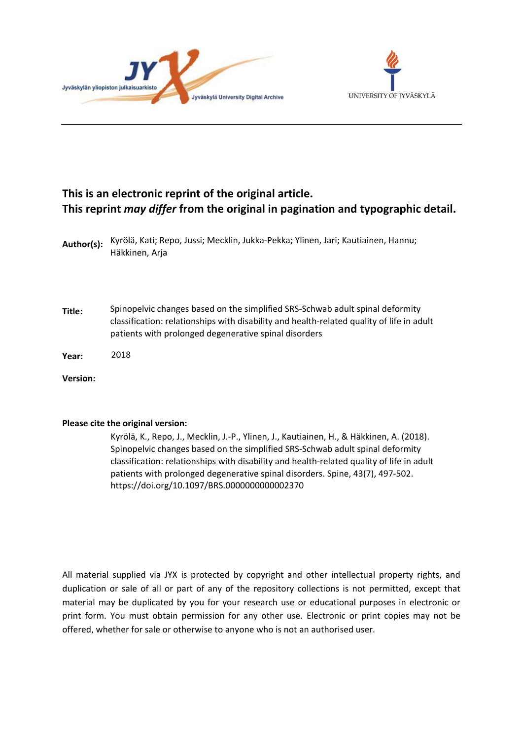



# **This is an electronic reprint of the original article. This reprint** *may differ* **from the original in pagination and typographic detail.**

**Author(s):**  Kyrölä, Kati; Repo, Jussi; Mecklin, Jukka-Pekka; Ylinen, Jari; Kautiainen, Hannu; Häkkinen, Arja

- **Title:** Spinopelvic changes based on the simplified SRS-Schwab adult spinal deformity classification: relationships with disability and health-related quality of life in adult patients with prolonged degenerative spinal disorders
- **Year:**  2018

**Version:**

#### **Please cite the original version:**

Kyrölä, K., Repo, J., Mecklin, J.-P., Ylinen, J., Kautiainen, H., & Häkkinen, A. (2018). Spinopelvic changes based on the simplified SRS-Schwab adult spinal deformity classification: relationships with disability and health-related quality of life in adult patients with prolonged degenerative spinal disorders. Spine, 43(7), 497-502. https://doi.org/10.1097/BRS.0000000000002370

All material supplied via JYX is protected by copyright and other intellectual property rights, and duplication or sale of all or part of any of the repository collections is not permitted, except that material may be duplicated by you for your research use or educational purposes in electronic or print form. You must obtain permission for any other use. Electronic or print copies may not be offered, whether for sale or otherwise to anyone who is not an authorised user.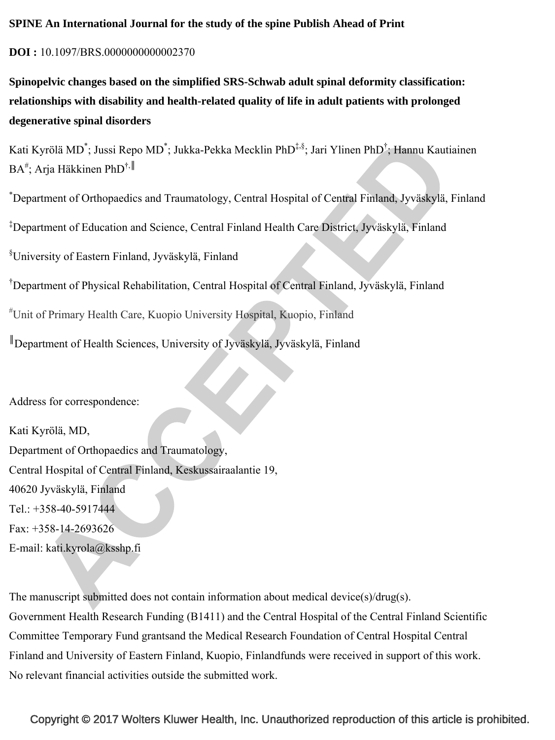## **SPINE An International Journal for the study of the spine Publish Ahead of Print**

## **DOI :** 10.1097/BRS.0000000000002370

**Spinopelvic changes based on the simplified SRS-Schwab adult spinal deformity classification: relationships with disability and health-related quality of life in adult patients with prolonged degenerative spinal disorders** 

Kati Kyrölä MD<sup>\*</sup>; Jussi Repo MD<sup>\*</sup>; Jukka-Pekka Mecklin PhD<sup>‡,§</sup>; Jari Ylinen PhD<sup>†</sup>; Hannu Kautiainen BA<sup>#</sup>; Arja Häkkinen PhD<sup>†,∥</sup>

\* Department of Orthopaedics and Traumatology, Central Hospital of Central Finland, Jyväskylä, Finland

‡ Department of Education and Science, Central Finland Health Care District, Jyväskylä, Finland

§ University of Eastern Finland, Jyväskylä, Finland

† Department of Physical Rehabilitation, Central Hospital of Central Finland, Jyväskylä, Finland

# Unit of Primary Health Care, Kuopio University Hospital, Kuopio, Finland

║Department of Health Sciences, University of Jyväskylä, Jyväskylä, Finland

Address for correspondence:

Kati Kyrölä, MD, Department of Orthopaedics and Traumatology, Central Hospital of Central Finland, Keskussairaalantie 19, 40620 Jyväskylä, Finland Tel.: +358-40-5917444 Fax: +358-14-2693626 E-mail: kati.kyrola@ksshp.fi

The manuscript submitted does not contain information about medical device(s)/drug(s). Government Health Research Funding (B1411) and the Central Hospital of the Central Finland Scientific Committee Temporary Fund grantsand the Medical Research Foundation of Central Hospital Central Finland and University of Eastern Finland, Kuopio, Finlandfunds were received in support of this work. No relevant financial activities outside the submitted work.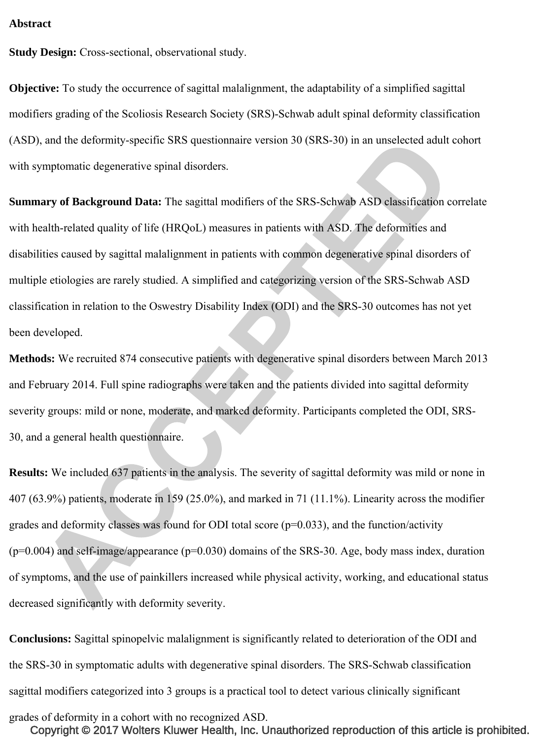#### **Abstract**

**Study Design:** Cross-sectional, observational study.

**Objective:** To study the occurrence of sagittal malalignment, the adaptability of a simplified sagittal modifiers grading of the Scoliosis Research Society (SRS)-Schwab adult spinal deformity classification (ASD), and the deformity-specific SRS questionnaire version 30 (SRS-30) in an unselected adult cohort with symptomatic degenerative spinal disorders.

**Summary of Background Data:** The sagittal modifiers of the SRS-Schwab ASD classification correlate with health-related quality of life (HRQoL) measures in patients with ASD. The deformities and disabilities caused by sagittal malalignment in patients with common degenerative spinal disorders of multiple etiologies are rarely studied. A simplified and categorizing version of the SRS-Schwab ASD classification in relation to the Oswestry Disability Index (ODI) and the SRS-30 outcomes has not yet been developed.

**Methods:** We recruited 874 consecutive patients with degenerative spinal disorders between March 2013 and February 2014. Full spine radiographs were taken and the patients divided into sagittal deformity severity groups: mild or none, moderate, and marked deformity. Participants completed the ODI, SRS-30, and a general health questionnaire.

**Results:** We included 637 patients in the analysis. The severity of sagittal deformity was mild or none in 407 (63.9%) patients, moderate in 159 (25.0%), and marked in 71 (11.1%). Linearity across the modifier grades and deformity classes was found for ODI total score ( $p=0.033$ ), and the function/activity  $(p=0.004)$  and self-image/appearance  $(p=0.030)$  domains of the SRS-30. Age, body mass index, duration of symptoms, and the use of painkillers increased while physical activity, working, and educational status decreased significantly with deformity severity.

**Conclusions:** Sagittal spinopelvic malalignment is significantly related to deterioration of the ODI and the SRS-30 in symptomatic adults with degenerative spinal disorders. The SRS-Schwab classification sagittal modifiers categorized into 3 groups is a practical tool to detect various clinically significant grades of deformity in a cohort with no recognized ASD.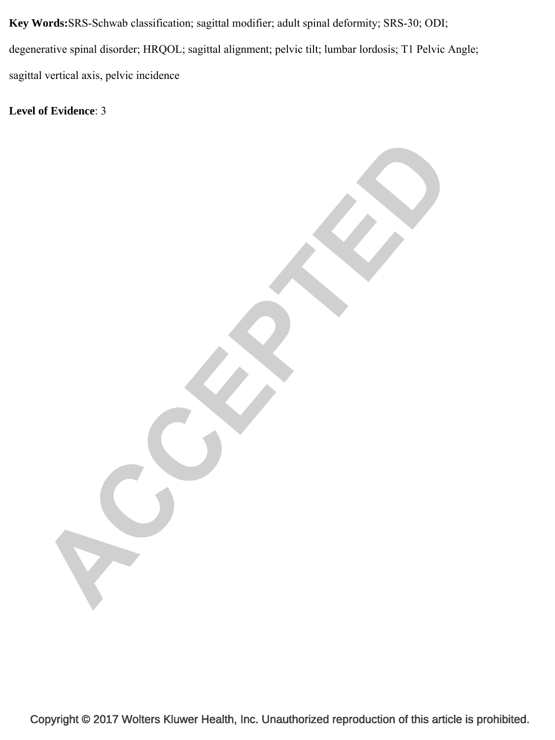**Key Words:**SRS-Schwab classification; sagittal modifier; adult spinal deformity; SRS-30; ODI; degenerative spinal disorder; HRQOL; sagittal alignment; pelvic tilt; lumbar lordosis; T1 Pelvic Angle; sagittal vertical axis, pelvic incidence

**Level of Evidence**: 3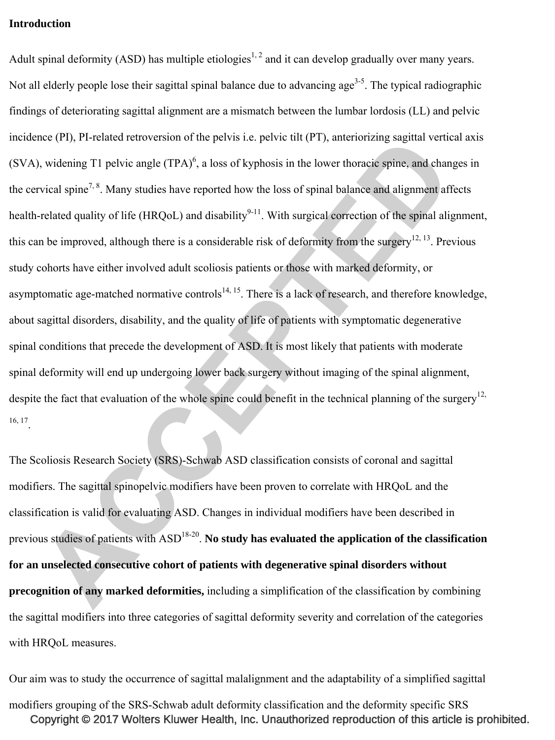#### **Introduction**

Adult spinal deformity (ASD) has multiple etiologies<sup>1, 2</sup> and it can develop gradually over many years. Not all elderly people lose their sagittal spinal balance due to advancing age<sup>3-5</sup>. The typical radiographic findings of deteriorating sagittal alignment are a mismatch between the lumbar lordosis (LL) and pelvic incidence (PI), PI-related retroversion of the pelvis i.e. pelvic tilt (PT), anteriorizing sagittal vertical axis  $(SVA)$ , widening T1 pelvic angle  $(TPA)^6$ , a loss of kyphosis in the lower thoracic spine, and changes in the cervical spine<sup>7, 8</sup>. Many studies have reported how the loss of spinal balance and alignment affects health-related quality of life (HRQoL) and disability<sup>9-11</sup>. With surgical correction of the spinal alignment, this can be improved, although there is a considerable risk of deformity from the surgery<sup>12, 13</sup>. Previous study cohorts have either involved adult scoliosis patients or those with marked deformity, or asymptomatic age-matched normative controls<sup>14, 15</sup>. There is a lack of research, and therefore knowledge, about sagittal disorders, disability, and the quality of life of patients with symptomatic degenerative spinal conditions that precede the development of ASD. It is most likely that patients with moderate spinal deformity will end up undergoing lower back surgery without imaging of the spinal alignment, despite the fact that evaluation of the whole spine could benefit in the technical planning of the surgery<sup>12,</sup> 16, 17.

The Scoliosis Research Society (SRS)-Schwab ASD classification consists of coronal and sagittal modifiers. The sagittal spinopelvic modifiers have been proven to correlate with HRQoL and the classification is valid for evaluating ASD. Changes in individual modifiers have been described in previous studies of patients with ASD18-20. **No study has evaluated the application of the classification for an unselected consecutive cohort of patients with degenerative spinal disorders without precognition of any marked deformities,** including a simplification of the classification by combining the sagittal modifiers into three categories of sagittal deformity severity and correlation of the categories with HRQoL measures.

Our aim was to study the occurrence of sagittal malalignment and the adaptability of a simplified sagittal modifiers grouping of the SRS-Schwab adult deformity classification and the deformity specific SRS Copyright © 2017 Wolters Kluwer Health, Inc. Unauthorized reproduction of this article is prohibited.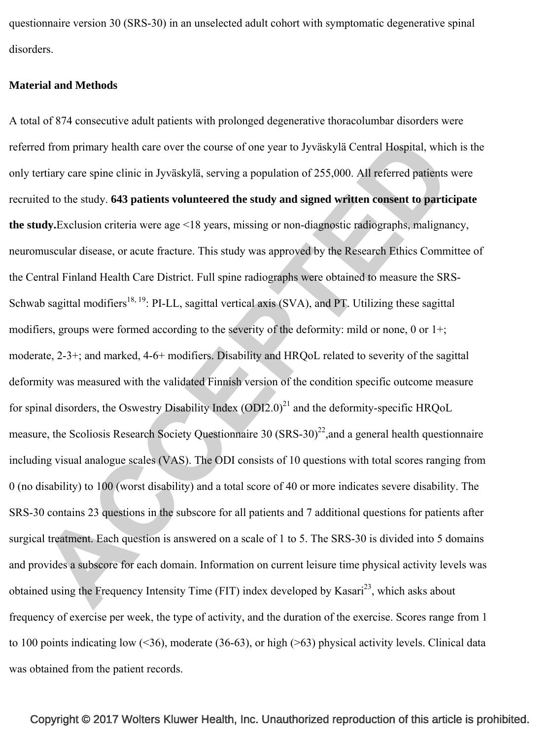questionnaire version 30 (SRS-30) in an unselected adult cohort with symptomatic degenerative spinal disorders.

#### **Material and Methods**

A total of 874 consecutive adult patients with prolonged degenerative thoracolumbar disorders were referred from primary health care over the course of one year to Jyväskylä Central Hospital, which is the only tertiary care spine clinic in Jyväskylä, serving a population of 255,000. All referred patients were recruited to the study. **643 patients volunteered the study and signed written consent to participate the study.**Exclusion criteria were age <18 years, missing or non-diagnostic radiographs, malignancy, neuromuscular disease, or acute fracture. This study was approved by the Research Ethics Committee of the Central Finland Health Care District. Full spine radiographs were obtained to measure the SRS-Schwab sagittal modifiers<sup>18, 19</sup>: PI-LL, sagittal vertical axis (SVA), and PT. Utilizing these sagittal modifiers, groups were formed according to the severity of the deformity: mild or none, 0 or 1+; moderate, 2-3+; and marked, 4-6+ modifiers. Disability and HRQoL related to severity of the sagittal deformity was measured with the validated Finnish version of the condition specific outcome measure for spinal disorders, the Oswestry Disability Index  $(ODI2.0)^{21}$  and the deformity-specific HRQoL measure, the Scoliosis Research Society Questionnaire 30  $(SRS-30)^{22}$ , and a general health questionnaire including visual analogue scales (VAS). The ODI consists of 10 questions with total scores ranging from 0 (no disability) to 100 (worst disability) and a total score of 40 or more indicates severe disability. The SRS-30 contains 23 questions in the subscore for all patients and 7 additional questions for patients after surgical treatment. Each question is answered on a scale of 1 to 5. The SRS-30 is divided into 5 domains and provides a subscore for each domain. Information on current leisure time physical activity levels was obtained using the Frequency Intensity Time (FIT) index developed by Kasari<sup>23</sup>, which asks about frequency of exercise per week, the type of activity, and the duration of the exercise. Scores range from 1 to 100 points indicating low  $($ <36), moderate  $(36-63)$ , or high  $($ >63) physical activity levels. Clinical data was obtained from the patient records.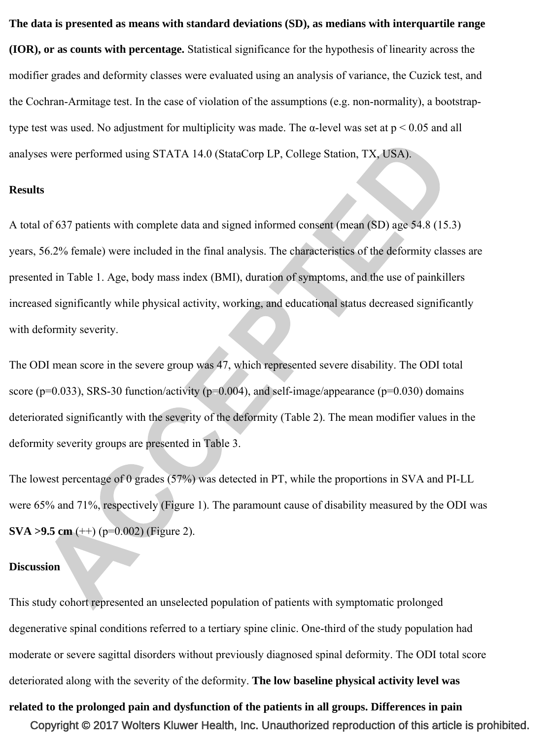**The data is presented as means with standard deviations (SD), as medians with interquartile range (IOR), or as counts with percentage.** Statistical significance for the hypothesis of linearity across the modifier grades and deformity classes were evaluated using an analysis of variance, the Cuzick test, and the Cochran-Armitage test. In the case of violation of the assumptions (e.g. non-normality), a bootstraptype test was used. No adjustment for multiplicity was made. The  $\alpha$ -level was set at  $p \le 0.05$  and all analyses were performed using STATA 14.0 (StataCorp LP, College Station, TX, USA).

#### **Results**

A total of 637 patients with complete data and signed informed consent (mean (SD) age 54.8 (15.3) years, 56.2% female) were included in the final analysis. The characteristics of the deformity classes are presented in Table 1. Age, body mass index (BMI), duration of symptoms, and the use of painkillers increased significantly while physical activity, working, and educational status decreased significantly with deformity severity.

The ODI mean score in the severe group was 47, which represented severe disability. The ODI total score ( $p=0.033$ ), SRS-30 function/activity ( $p=0.004$ ), and self-image/appearance ( $p=0.030$ ) domains deteriorated significantly with the severity of the deformity (Table 2). The mean modifier values in the deformity severity groups are presented in Table 3.

The lowest percentage of 0 grades (57%) was detected in PT, while the proportions in SVA and PI-LL were 65% and 71%, respectively (Figure 1). The paramount cause of disability measured by the ODI was **SVA >9.5 cm** (++) (p=0.002) (Figure 2).

#### **Discussion**

This study cohort represented an unselected population of patients with symptomatic prolonged degenerative spinal conditions referred to a tertiary spine clinic. One-third of the study population had moderate or severe sagittal disorders without previously diagnosed spinal deformity. The ODI total score deteriorated along with the severity of the deformity. **The low baseline physical activity level was** 

# **related to the prolonged pain and dysfunction of the patients in all groups. Differences in pain**  Copyright © 2017 Wolters Kluwer Health, Inc. Unauthorized reproduction of this article is prohibited.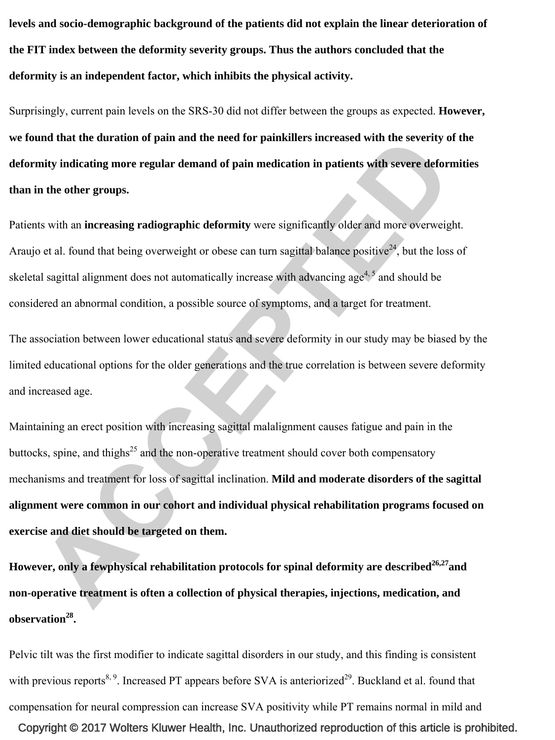**levels and socio-demographic background of the patients did not explain the linear deterioration of the FIT index between the deformity severity groups. Thus the authors concluded that the deformity is an independent factor, which inhibits the physical activity.** 

Surprisingly, current pain levels on the SRS-30 did not differ between the groups as expected. **However, we found that the duration of pain and the need for painkillers increased with the severity of the deformity indicating more regular demand of pain medication in patients with severe deformities than in the other groups.** 

Patients with an **increasing radiographic deformity** were significantly older and more overweight. Araujo et al. found that being overweight or obese can turn sagittal balance positive<sup>24</sup>, but the loss of skeletal sagittal alignment does not automatically increase with advancing age<sup>4,5</sup> and should be considered an abnormal condition, a possible source of symptoms, and a target for treatment.

The association between lower educational status and severe deformity in our study may be biased by the limited educational options for the older generations and the true correlation is between severe deformity and increased age.

Maintaining an erect position with increasing sagittal malalignment causes fatigue and pain in the buttocks, spine, and thighs<sup>25</sup> and the non-operative treatment should cover both compensatory mechanisms and treatment for loss of sagittal inclination. **Mild and moderate disorders of the sagittal alignment were common in our cohort and individual physical rehabilitation programs focused on exercise and diet should be targeted on them.** 

**However, only a fewphysical rehabilitation protocols for spinal deformity are described<sup>26,27</sup>and non-operative treatment is often a collection of physical therapies, injections, medication, and observation**<sup>28</sup>.

Pelvic tilt was the first modifier to indicate sagittal disorders in our study, and this finding is consistent with previous reports<sup>8, 9</sup>. Increased PT appears before SVA is anteriorized<sup>29</sup>. Buckland et al. found that compensation for neural compression can increase SVA positivity while PT remains normal in mild and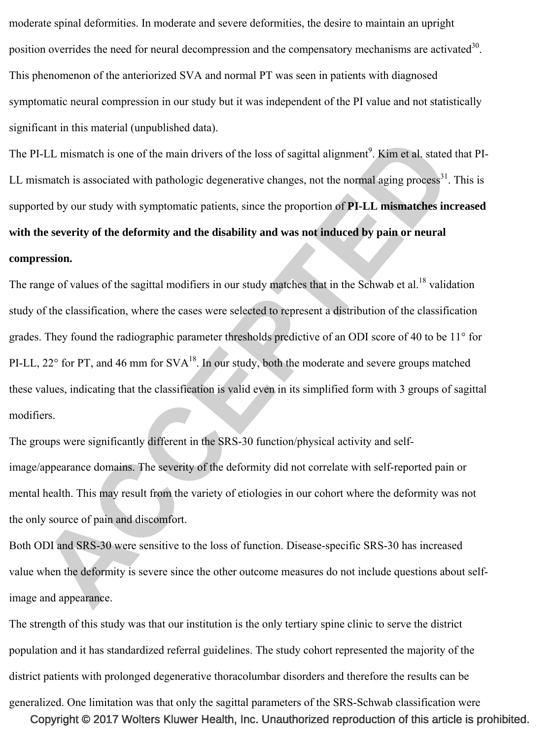moderate spinal deformities. In moderate and severe deformities, the desire to maintain an upright position overrides the need for neural decompression and the compensatory mechanisms are activated<sup>30</sup>. This phenomenon of the anteriorized SVA and normal PT was seen in patients with diagnosed symptomatic neural compression in our study but it was independent of the PI value and not statistically significant in this material (unpublished data).

The PI-LL mismatch is one of the main drivers of the loss of sagittal alignment<sup>9</sup>. Kim et al. stated that PI-LL mismatch is associated with pathologic degenerative changes, not the normal aging process<sup>31</sup>. This is supported by our study with symptomatic patients, since the proportion of **PI-LL mismatches increased with the severity of the deformity and the disability and was not induced by pain or neural compression.** 

The range of values of the sagittal modifiers in our study matches that in the Schwab et al.<sup>18</sup> validation study of the classification, where the cases were selected to represent a distribution of the classification grades. They found the radiographic parameter thresholds predictive of an ODI score of 40 to be 11° for PI-LL,  $22^{\circ}$  for PT, and 46 mm for SVA<sup>18</sup>. In our study, both the moderate and severe groups matched these values, indicating that the classification is valid even in its simplified form with 3 groups of sagittal modifiers.

The groups were significantly different in the SRS-30 function/physical activity and selfimage/appearance domains. The severity of the deformity did not correlate with self-reported pain or mental health. This may result from the variety of etiologies in our cohort where the deformity was not the only source of pain and discomfort.

Both ODI and SRS-30 were sensitive to the loss of function. Disease-specific SRS-30 has increased value when the deformity is severe since the other outcome measures do not include questions about selfimage and appearance.

The strength of this study was that our institution is the only tertiary spine clinic to serve the district population and it has standardized referral guidelines. The study cohort represented the majority of the district patients with prolonged degenerative thoracolumbar disorders and therefore the results can be generalized. One limitation was that only the sagittal parameters of the SRS-Schwab classification were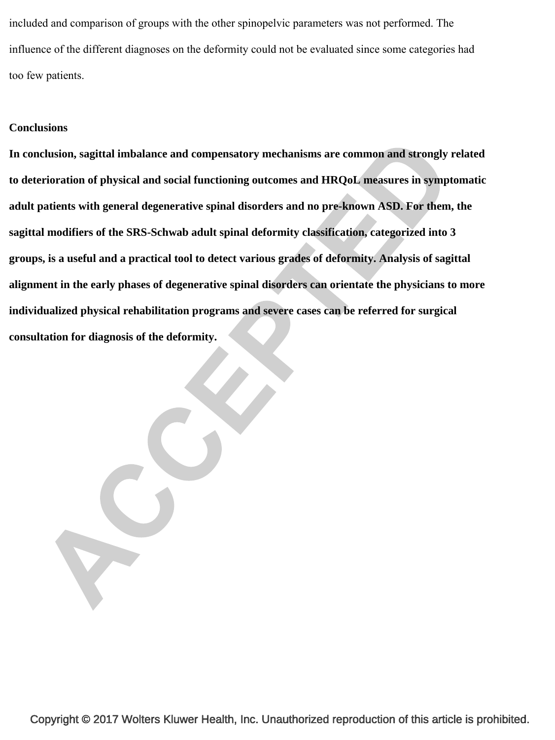included and comparison of groups with the other spinopelvic parameters was not performed. The influence of the different diagnoses on the deformity could not be evaluated since some categories had too few patients.

#### **Conclusions**

**In conclusion, sagittal imbalance and compensatory mechanisms are common and strongly related to deterioration of physical and social functioning outcomes and HRQoL measures in symptomatic adult patients with general degenerative spinal disorders and no pre-known ASD. For them, the sagittal modifiers of the SRS-Schwab adult spinal deformity classification, categorized into 3 groups, is a useful and a practical tool to detect various grades of deformity. Analysis of sagittal alignment in the early phases of degenerative spinal disorders can orientate the physicians to more**  individualized physical rehabilitation programs and severe cases can be referred for surgical consultation for diagnosis of the deformity. **consultation for diagnosis of the deformity.** 

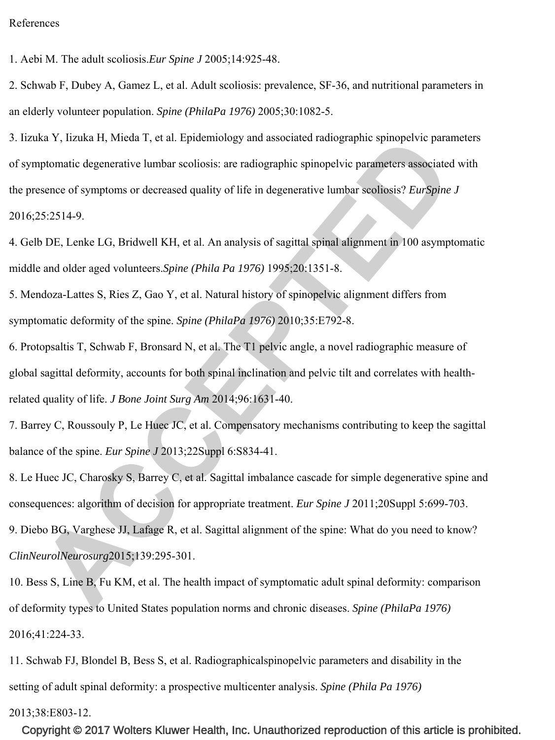1. Aebi M. The adult scoliosis.*Eur Spine J* 2005;14:925-48.

2. Schwab F, Dubey A, Gamez L, et al. Adult scoliosis: prevalence, SF-36, and nutritional parameters in an elderly volunteer population. *Spine (PhilaPa 1976)* 2005;30:1082-5.

3. Iizuka Y, Iizuka H, Mieda T, et al. Epidemiology and associated radiographic spinopelvic parameters of symptomatic degenerative lumbar scoliosis: are radiographic spinopelvic parameters associated with the presence of symptoms or decreased quality of life in degenerative lumbar scoliosis? *EurSpine J*  2016;25:2514-9.

4. Gelb DE, Lenke LG, Bridwell KH, et al. An analysis of sagittal spinal alignment in 100 asymptomatic middle and older aged volunteers.*Spine (Phila Pa 1976)* 1995;20:1351-8.

5. Mendoza-Lattes S, Ries Z, Gao Y, et al. Natural history of spinopelvic alignment differs from symptomatic deformity of the spine. *Spine (PhilaPa 1976)* 2010;35:E792-8.

6. Protopsaltis T, Schwab F, Bronsard N, et al. The T1 pelvic angle, a novel radiographic measure of global sagittal deformity, accounts for both spinal inclination and pelvic tilt and correlates with healthrelated quality of life. *J Bone Joint Surg Am* 2014;96:1631-40.

7. Barrey C, Roussouly P, Le Huec JC, et al. Compensatory mechanisms contributing to keep the sagittal balance of the spine. *Eur Spine J* 2013;22Suppl 6:S834-41.

8. Le Huec JC, Charosky S, Barrey C, et al. Sagittal imbalance cascade for simple degenerative spine and consequences: algorithm of decision for appropriate treatment. *Eur Spine J* 2011;20Suppl 5:699-703. 9. Diebo BG, Varghese JJ, Lafage R, et al. Sagittal alignment of the spine: What do you need to know? *ClinNeurolNeurosurg*2015;139:295-301.

10. Bess S, Line B, Fu KM, et al. The health impact of symptomatic adult spinal deformity: comparison of deformity types to United States population norms and chronic diseases. *Spine (PhilaPa 1976)*  2016;41:224-33.

11. Schwab FJ, Blondel B, Bess S, et al. Radiographicalspinopelvic parameters and disability in the setting of adult spinal deformity: a prospective multicenter analysis. *Spine (Phila Pa 1976)* 

2013;38:E803-12.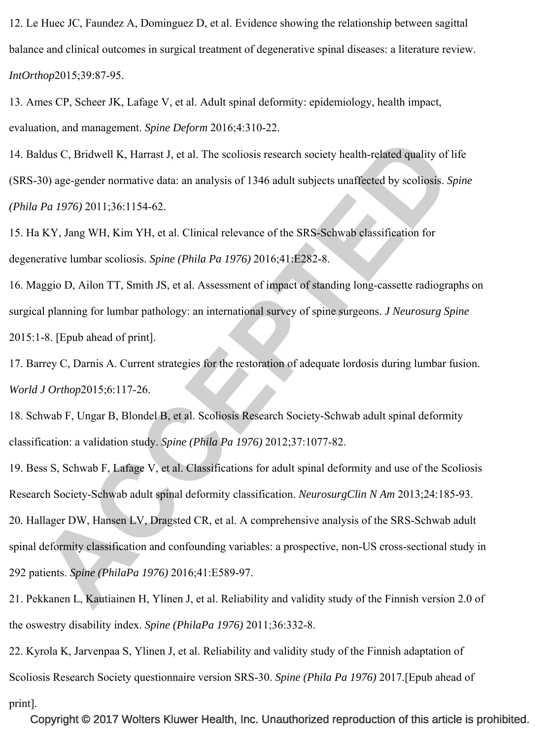12. Le Huec JC, Faundez A, Dominguez D, et al. Evidence showing the relationship between sagittal balance and clinical outcomes in surgical treatment of degenerative spinal diseases: a literature review. *IntOrthop*2015;39:87-95.

13. Ames CP, Scheer JK, Lafage V, et al. Adult spinal deformity: epidemiology, health impact, evaluation, and management. *Spine Deform* 2016;4:310-22.

14. Baldus C, Bridwell K, Harrast J, et al. The scoliosis research society health-related quality of life (SRS-30) age-gender normative data: an analysis of 1346 adult subjects unaffected by scoliosis. *Spine (Phila Pa 1976)* 2011;36:1154-62.

15. Ha KY, Jang WH, Kim YH, et al. Clinical relevance of the SRS-Schwab classification for degenerative lumbar scoliosis. *Spine (Phila Pa 1976)* 2016;41:E282-8.

16. Maggio D, Ailon TT, Smith JS, et al. Assessment of impact of standing long-cassette radiographs on surgical planning for lumbar pathology: an international survey of spine surgeons. *J Neurosurg Spine*  2015:1-8. [Epub ahead of print].

17. Barrey C, Darnis A. Current strategies for the restoration of adequate lordosis during lumbar fusion. *World J Orthop*2015;6:117-26.

18. Schwab F, Ungar B, Blondel B, et al. Scoliosis Research Society-Schwab adult spinal deformity classification: a validation study. *Spine (Phila Pa 1976)* 2012;37:1077-82.

19. Bess S, Schwab F, Lafage V, et al. Classifications for adult spinal deformity and use of the Scoliosis Research Society-Schwab adult spinal deformity classification. *NeurosurgClin N Am* 2013;24:185-93. 20. Hallager DW, Hansen LV, Dragsted CR, et al. A comprehensive analysis of the SRS-Schwab adult spinal deformity classification and confounding variables: a prospective, non-US cross-sectional study in 292 patients. *Spine (PhilaPa 1976)* 2016;41:E589-97.

21. Pekkanen L, Kautiainen H, Ylinen J, et al. Reliability and validity study of the Finnish version 2.0 of the oswestry disability index. *Spine (PhilaPa 1976)* 2011;36:332-8.

22. Kyrola K, Jarvenpaa S, Ylinen J, et al. Reliability and validity study of the Finnish adaptation of Scoliosis Research Society questionnaire version SRS-30. *Spine (Phila Pa 1976)* 2017.[Epub ahead of print].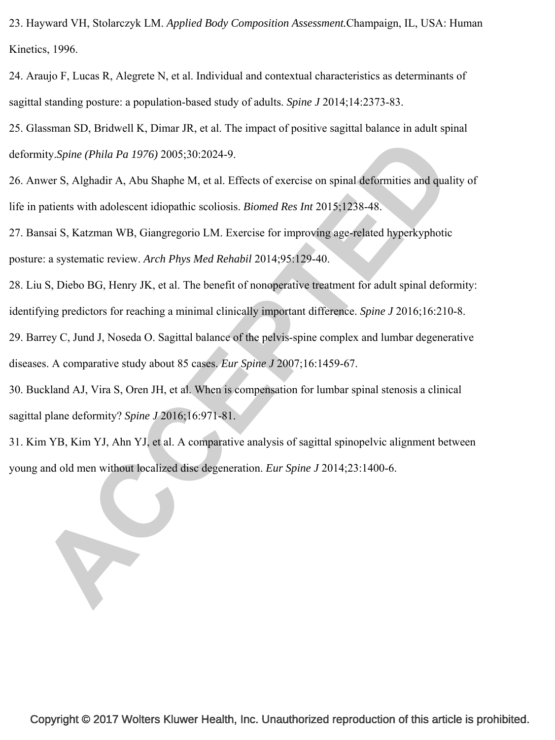23. Hayward VH, Stolarczyk LM. *Applied Body Composition Assessment.*Champaign, IL, USA: Human Kinetics, 1996.

24. Araujo F, Lucas R, Alegrete N, et al. Individual and contextual characteristics as determinants of sagittal standing posture: a population-based study of adults. *Spine J* 2014;14:2373-83.

25. Glassman SD, Bridwell K, Dimar JR, et al. The impact of positive sagittal balance in adult spinal deformity.*Spine (Phila Pa 1976)* 2005;30:2024-9.

26. Anwer S, Alghadir A, Abu Shaphe M, et al. Effects of exercise on spinal deformities and quality of life in patients with adolescent idiopathic scoliosis. *Biomed Res Int* 2015;1238-48.

27. Bansai S, Katzman WB, Giangregorio LM. Exercise for improving age-related hyperkyphotic posture: a systematic review. *Arch Phys Med Rehabil* 2014;95:129-40.

28. Liu S, Diebo BG, Henry JK, et al. The benefit of nonoperative treatment for adult spinal deformity:

identifying predictors for reaching a minimal clinically important difference. *Spine J* 2016;16:210-8.

29. Barrey C, Jund J, Noseda O. Sagittal balance of the pelvis-spine complex and lumbar degenerative diseases. A comparative study about 85 cases. *Eur Spine J* 2007;16:1459-67.

30. Buckland AJ, Vira S, Oren JH, et al. When is compensation for lumbar spinal stenosis a clinical sagittal plane deformity? *Spine J* 2016;16:971-81.

31. Kim YB, Kim YJ, Ahn YJ, et al. A comparative analysis of sagittal spinopelvic alignment between young and old men without localized disc degeneration. *Eur Spine J* 2014;23:1400-6.

T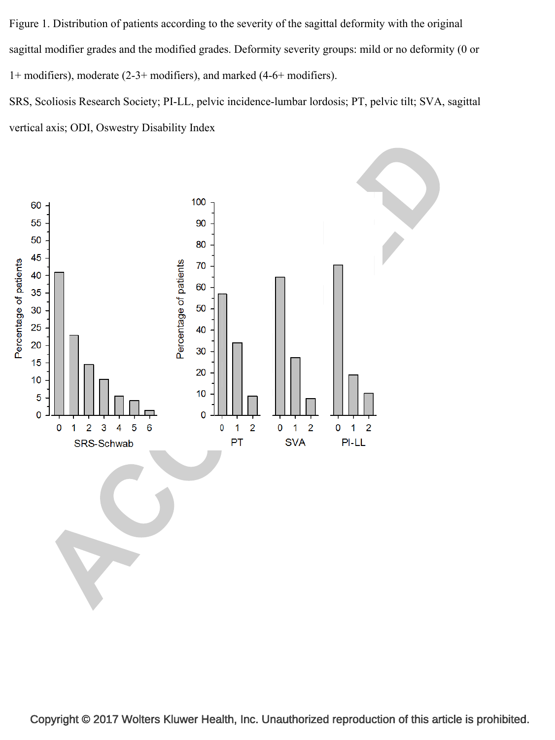Figure 1. Distribution of patients according to the severity of the sagittal deformity with the original sagittal modifier grades and the modified grades. Deformity severity groups: mild or no deformity (0 or 1+ modifiers), moderate (2-3+ modifiers), and marked (4-6+ modifiers).

SRS, Scoliosis Research Society; PI-LL, pelvic incidence-lumbar lordosis; PT, pelvic tilt; SVA, sagittal vertical axis; ODI, Oswestry Disability Index

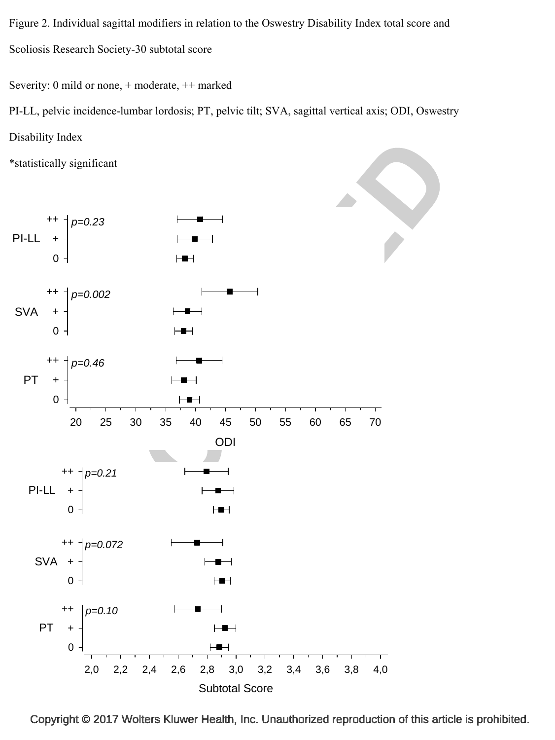Figure 2. Individual sagittal modifiers in relation to the Oswestry Disability Index total score and Scoliosis Research Society-30 subtotal score

Severity: 0 mild or none, + moderate, ++ marked

PI-LL, pelvic incidence-lumbar lordosis; PT, pelvic tilt; SVA, sagittal vertical axis; ODI, Oswestry Disability Index



Copyright © 2017 Wolters Kluwer Health, Inc. Unauthorized reproduction of this article is prohibited.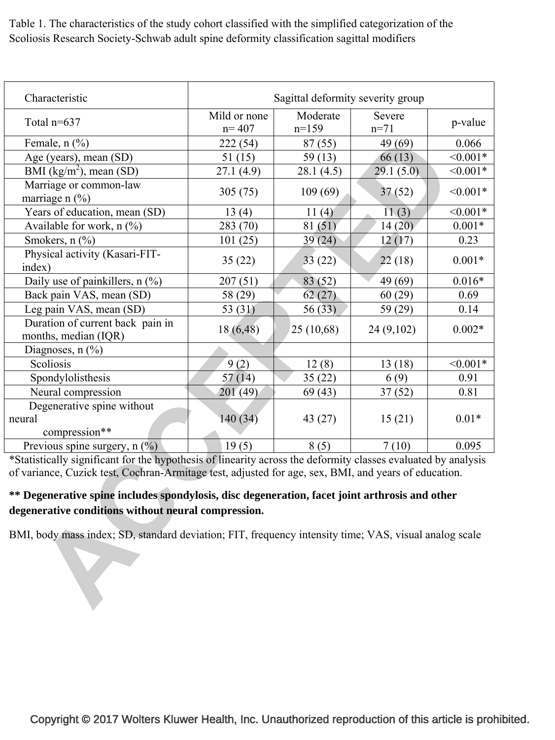Table 1. The characteristics of the study cohort classified with the simplified categorization of the Scoliosis Research Society-Schwab adult spine deformity classification sagittal modifiers

| Characteristic                                           | Sagittal deformity severity group |                     |                  |            |
|----------------------------------------------------------|-----------------------------------|---------------------|------------------|------------|
| Total $n=637$                                            | Mild or none<br>$n = 407$         | Moderate<br>$n=159$ | Severe<br>$n=71$ | p-value    |
| Female, $n$ $(\frac{9}{6})$                              | 222 (54)                          | 87(55)              | 49 (69)          | 0.066      |
| Age (years), mean (SD)                                   | 51(15)                            | 59(13)              | 66(13)           | $< 0.001*$ |
| BMI ( $\text{kg/m}^2$ ), mean (SD)                       | 27.1(4.9)                         | 28.1(4.5)           | 29.1(5.0)        | $< 0.001*$ |
| Marriage or common-law<br>marriage $n$ (%)               | 305(75)                           | 109(69)             | 37(52)           | $< 0.001*$ |
| Years of education, mean (SD)                            | 13(4)                             | 11(4)               | 11(3)            | $< 0.001*$ |
| Available for work, $n$ $(\%)$                           | 283 (70)                          | 81(51)              | 14(20)           | $0.001*$   |
| Smokers, $n$ $(\%)$                                      | 101(25)                           | 39(24)              | 12(17)           | 0.23       |
| Physical activity (Kasari-FIT-<br>index)                 | 35(22)                            | 33(22)              | 22(18)           | $0.001*$   |
| Daily use of painkillers, $n$ (%)                        | 207(51)                           | 83 (52)             | 49 (69)          | $0.016*$   |
| Back pain VAS, mean (SD)                                 | 58 (29)                           | 62(27)              | 60(29)           | 0.69       |
| Leg pain VAS, mean (SD)                                  | 53 (31)                           | 56(33)              | 59 (29)          | 0.14       |
| Duration of current back pain in<br>months, median (IQR) | 18(6, 48)                         | 25(10,68)           | 24 (9,102)       | $0.002*$   |
| Diagnoses, $n$ $(\%)$                                    |                                   |                     |                  |            |
| Scoliosis                                                | 9(2)                              | 12(8)               | 13(18)           | $< 0.001*$ |
| Spondylolisthesis                                        | 57(14)                            | 35(22)              | 6(9)             | 0.91       |
| Neural compression                                       | 201(49)                           | 69(43)              | 37(52)           | 0.81       |
| Degenerative spine without                               |                                   |                     |                  |            |
| neural                                                   | 140 (34)                          | 43 (27)             | 15(21)           | $0.01*$    |
| compression**                                            |                                   |                     |                  |            |
| Previous spine surgery, $n$ (%)                          | 19(5)                             | 8(5)                | 7(10)            | 0.095      |

\*Statistically significant for the hypothesis of linearity across the deformity classes evaluated by analysis of variance, Cuzick test, Cochran-Armitage test, adjusted for age, sex, BMI, and years of education.

# **\*\* Degenerative spine includes spondylosis, disc degeneration, facet joint arthrosis and other degenerative conditions without neural compression.**

BMI, body mass index; SD, standard deviation; FIT, frequency intensity time; VAS, visual analog scale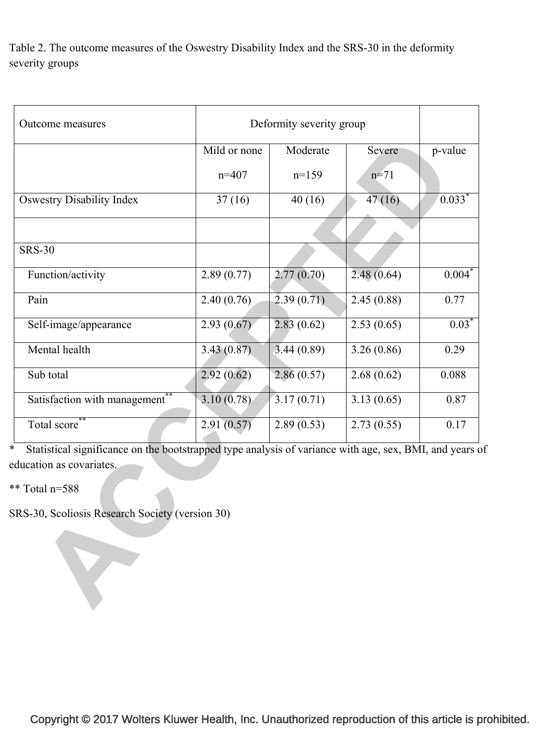Table 2. The outcome measures of the Oswestry Disability Index and the SRS-30 in the deformity severity groups

| Outcome measures                          | Deformity severity group |            |            |          |
|-------------------------------------------|--------------------------|------------|------------|----------|
|                                           | Mild or none             | Moderate   | Severe     | p-value  |
|                                           | $n=407$                  | $n=159$    | $n = 71$   |          |
| <b>Oswestry Disability Index</b>          | 37(16)                   | 40(16)     | 47(16)     | $0.033*$ |
|                                           |                          |            |            |          |
| <b>SRS-30</b>                             |                          |            |            |          |
| Function/activity                         | 2.89(0.77)               | 2.77(0.70) | 2.48(0.64) | $0.004*$ |
| Pain                                      | 2.40(0.76)               | 2.39(0.71) | 2.45(0.88) | 0.77     |
| Self-image/appearance                     | 2.93(0.67)               | 2.83(0.62) | 2.53(0.65) | $0.03*$  |
| Mental health                             | 3.43(0.87)               | 3.44(0.89) | 3.26(0.86) | 0.29     |
| Sub total                                 | 2.92(0.62)               | 2.86(0.57) | 2.68(0.62) | 0.088    |
| Satisfaction with management <sup>®</sup> | 3.10(0.78)               | 3.17(0.71) | 3.13(0.65) | 0.87     |
| Total score**                             | 2.91(0.57)               | 2.89(0.53) | 2.73(0.55) | 0.17     |

\* Statistical significance on the bootstrapped type analysis of variance with age, sex, BMI, and years of education as covariates.

\*\* Total n=588

SRS-30, Scoliosis Research Society (version 30)

Y